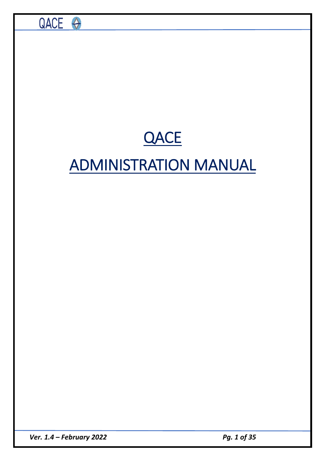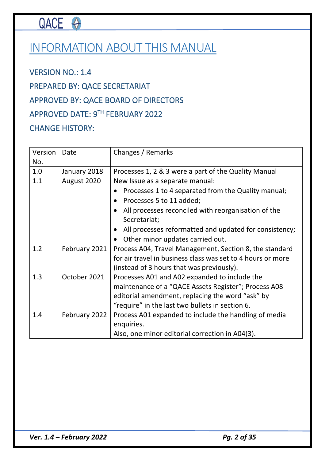# QACE O

# INFORMATION ABOUT THIS MANUAL

VERSION NO.: 1.4 PREPARED BY: QACE SECRETARIAT APPROVED BY: QACE BOARD OF DIRECTORS APPROVED DATE: 9TH FEBRUARY 2022 CHANGE HISTORY:

| Version | Date          | Changes / Remarks                                                   |
|---------|---------------|---------------------------------------------------------------------|
| No.     |               |                                                                     |
| 1.0     | January 2018  | Processes 1, 2 & 3 were a part of the Quality Manual                |
| 1.1     | August 2020   | New Issue as a separate manual:                                     |
|         |               | Processes 1 to 4 separated from the Quality manual;                 |
|         |               | Processes 5 to 11 added;<br>$\bullet$                               |
|         |               | All processes reconciled with reorganisation of the<br>$\bullet$    |
|         |               | Secretariat;                                                        |
|         |               | All processes reformatted and updated for consistency;<br>$\bullet$ |
|         |               | Other minor updates carried out.<br>$\bullet$                       |
| 1.2     | February 2021 | Process A04, Travel Management, Section 8, the standard             |
|         |               | for air travel in business class was set to 4 hours or more         |
|         |               | (instead of 3 hours that was previously).                           |
| 1.3     | October 2021  | Processes A01 and A02 expanded to include the                       |
|         |               | maintenance of a "QACE Assets Register"; Process A08                |
|         |               | editorial amendment, replacing the word "ask" by                    |
|         |               | "require" in the last two bullets in section 6.                     |
| 1.4     | February 2022 | Process A01 expanded to include the handling of media               |
|         |               | enquiries.                                                          |
|         |               | Also, one minor editorial correction in A04(3).                     |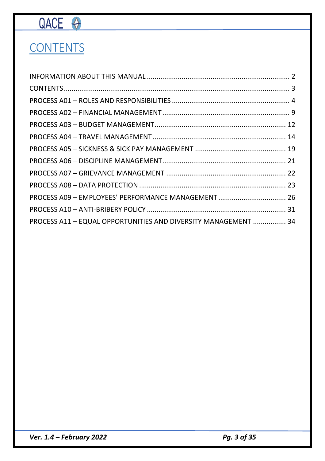# QACE O

# **CONTENTS**

| PROCESS A09 - EMPLOYEES' PERFORMANCE MANAGEMENT  26            |
|----------------------------------------------------------------|
|                                                                |
| PROCESS A11 - EQUAL OPPORTUNITIES AND DIVERSITY MANAGEMENT  34 |
|                                                                |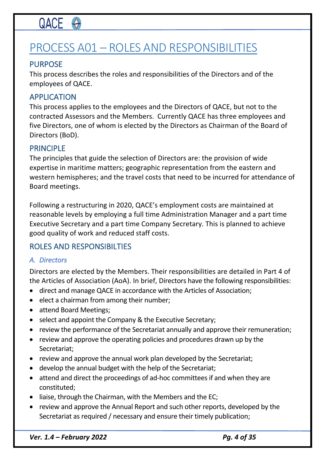# PROCESS A01 – ROLES AND RESPONSIBILITIES

## PURPOSE

This process describes the roles and responsibilities of the Directors and of the employees of QACE.

### APPLICATION

This process applies to the employees and the Directors of QACE, but not to the contracted Assessors and the Members. Currently QACE has three employees and five Directors, one of whom is elected by the Directors as Chairman of the Board of Directors (BoD).

### PRINCIPLE

The principles that guide the selection of Directors are: the provision of wide expertise in maritime matters; geographic representation from the eastern and western hemispheres; and the travel costs that need to be incurred for attendance of Board meetings.

Following a restructuring in 2020, QACE's employment costs are maintained at reasonable levels by employing a full time Administration Manager and a part time Executive Secretary and a part time Company Secretary. This is planned to achieve good quality of work and reduced staff costs.

### ROLES AND RESPONSIBILTIES

#### *A. Directors*

Directors are elected by the Members. Their responsibilities are detailed in Part 4 of the Articles of Association (AoA). In brief, Directors have the following responsibilities:

- direct and manage QACE in accordance with the Articles of Association;
- elect a chairman from among their number;
- attend Board Meetings;
- select and appoint the Company & the Executive Secretary;
- review the performance of the Secretariat annually and approve their remuneration;
- review and approve the operating policies and procedures drawn up by the Secretariat;
- review and approve the annual work plan developed by the Secretariat;
- develop the annual budget with the help of the Secretariat;
- attend and direct the proceedings of ad-hoc committees if and when they are constituted;
- liaise, through the Chairman, with the Members and the EC;
- review and approve the Annual Report and such other reports, developed by the Secretariat as required / necessary and ensure their timely publication;

*Ver.* 1.4 – *February* 2022 *Pg. 4 of 35*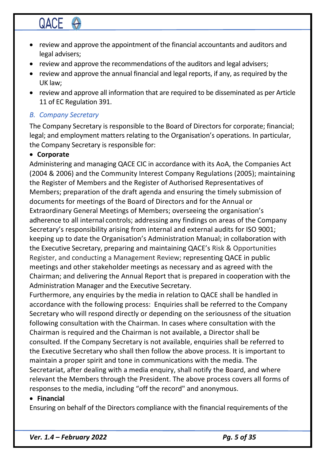- review and approve the appointment of the financial accountants and auditors and legal advisers;
- review and approve the recommendations of the auditors and legal advisers;
- review and approve the annual financial and legal reports, if any, as required by the UK law;
- review and approve all information that are required to be disseminated as per Article 11 of EC Regulation 391.

## *B. Company Secretary*

The Company Secretary is responsible to the Board of Directors for corporate; financial; legal; and employment matters relating to the Organisation's operations. In particular, the Company Secretary is responsible for:

## • **Corporate**

Administering and managing QACE CIC in accordance with its AoA, the Companies Act (2004 & 2006) and the Community Interest Company Regulations (2005); maintaining the Register of Members and the Register of Authorised Representatives of Members; preparation of the draft agenda and ensuring the timely submission of documents for meetings of the Board of Directors and for the Annual or Extraordinary General Meetings of Members; overseeing the organisation's adherence to all internal controls; addressing any findings on areas of the Company Secretary's responsibility arising from internal and external audits for ISO 9001; keeping up to date the Organisation's Administration Manual; in collaboration with the Executive Secretary, preparing and maintaining QACE's Risk & Opportunities Register, and conducting a Management Review; representing QACE in public meetings and other stakeholder meetings as necessary and as agreed with the Chairman; and delivering the Annual Report that is prepared in cooperation with the Administration Manager and the Executive Secretary.

Furthermore, any enquiries by the media in relation to QACE shall be handled in accordance with the following process: Enquiries shall be referred to the Company Secretary who will respond directly or depending on the seriousness of the situation following consultation with the Chairman. In cases where consultation with the Chairman is required and the Chairman is not available, a Director shall be consulted. If the Company Secretary is not available, enquiries shall be referred to the Executive Secretary who shall then follow the above process. It is important to maintain a proper spirit and tone in communications with the media. The Secretariat, after dealing with a media enquiry, shall notify the Board, and where relevant the Members through the President. The above process covers all forms of responses to the media, including "off the record" and anonymous.

#### • **Financial**

Ensuring on behalf of the Directors compliance with the financial requirements of the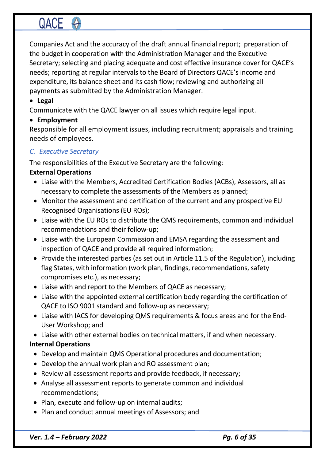Companies Act and the accuracy of the draft annual financial report; preparation of the budget in cooperation with the Administration Manager and the Executive Secretary; selecting and placing adequate and cost effective insurance cover for QACE's needs; reporting at regular intervals to the Board of Directors QACE's income and expenditure, its balance sheet and its cash flow; reviewing and authorizing all payments as submitted by the Administration Manager.

### • **Legal**

Communicate with the QACE lawyer on all issues which require legal input.

#### • **Employment**

Responsible for all employment issues, including recruitment; appraisals and training needs of employees.

### *C. Executive Secretary*

The responsibilities of the Executive Secretary are the following:

### **External Operations**

- Liaise with the Members, Accredited Certification Bodies (ACBs), Assessors, all as necessary to complete the assessments of the Members as planned;
- Monitor the assessment and certification of the current and any prospective EU Recognised Organisations (EU ROs);
- Liaise with the EU ROs to distribute the QMS requirements, common and individual recommendations and their follow-up;
- Liaise with the European Commission and EMSA regarding the assessment and inspection of QACE and provide all required information;
- Provide the interested parties (as set out in Article 11.5 of the Regulation), including flag States, with information (work plan, findings, recommendations, safety compromises etc.), as necessary;
- Liaise with and report to the Members of QACE as necessary;
- Liaise with the appointed external certification body regarding the certification of QACE to ISO 9001 standard and follow-up as necessary;
- Liaise with IACS for developing QMS requirements & focus areas and for the End-User Workshop; and
- Liaise with other external bodies on technical matters, if and when necessary.

### **Internal Operations**

- Develop and maintain QMS Operational procedures and documentation;
- Develop the annual work plan and RO assessment plan;
- Review all assessment reports and provide feedback, if necessary;
- Analyse all assessment reports to generate common and individual recommendations;
- Plan, execute and follow-up on internal audits;
- Plan and conduct annual meetings of Assessors; and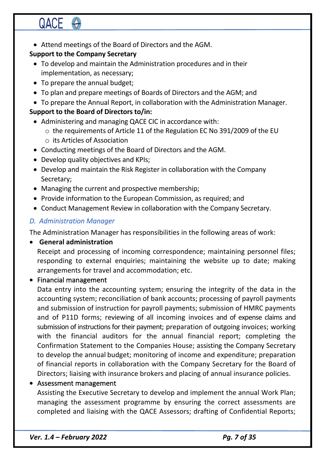• Attend meetings of the Board of Directors and the AGM.

## **Support to the Company Secretary**

- To develop and maintain the Administration procedures and in their implementation, as necessary;
- To prepare the annual budget;
- To plan and prepare meetings of Boards of Directors and the AGM; and
- To prepare the Annual Report, in collaboration with the Administration Manager.

# **Support to the Board of Directors to/in:**

- Administering and managing QACE CIC in accordance with: o the requirements of Article 11 of the Regulation EC No 391/2009 of the EU o its Articles of Association
- Conducting meetings of the Board of Directors and the AGM.
- Develop quality objectives and KPIs;
- Develop and maintain the Risk Register in collaboration with the Company Secretary;
- Managing the current and prospective membership;
- Provide information to the European Commission, as required; and
- Conduct Management Review in collaboration with the Company Secretary.

# *D. Administration Manager*

The Administration Manager has responsibilities in the following areas of work:

### • **General administration**

Receipt and processing of incoming correspondence; maintaining personnel files; responding to external enquiries; maintaining the website up to date; making arrangements for travel and accommodation; etc.

• Financial management

Data entry into the accounting system; ensuring the integrity of the data in the accounting system; reconciliation of bank accounts; processing of payroll payments and submission of instruction for payroll payments; submission of HMRC payments and of P11D forms; reviewing of all incoming invoices and of expense claims and submission of instructions for their payment; preparation of outgoing invoices; working with the financial auditors for the annual financial report; completing the Confirmation Statement to the Companies House; assisting the Company Secretary to develop the annual budget; monitoring of income and expenditure; preparation of financial reports in collaboration with the Company Secretary for the Board of Directors; liaising with insurance brokers and placing of annual insurance policies.

## • Assessment management

Assisting the Executive Secretary to develop and implement the annual Work Plan; managing the assessment programme by ensuring the correct assessments are completed and liaising with the QACE Assessors; drafting of Confidential Reports;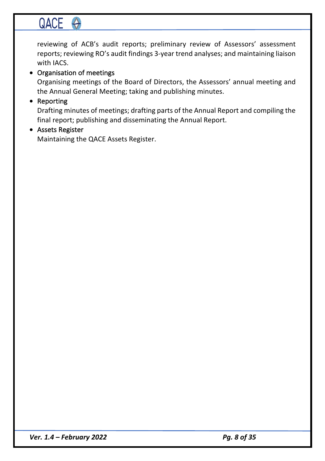# QACE O

reviewing of ACB's audit reports; preliminary review of Assessors' assessment reports; reviewing RO's audit findings 3-year trend analyses; and maintaining liaison with IACS.

#### • Organisation of meetings

Organising meetings of the Board of Directors, the Assessors' annual meeting and the Annual General Meeting; taking and publishing minutes.

#### • Reporting

Drafting minutes of meetings; drafting parts of the Annual Report and compiling the final report; publishing and disseminating the Annual Report.

#### • Assets Register

Maintaining the QACE Assets Register.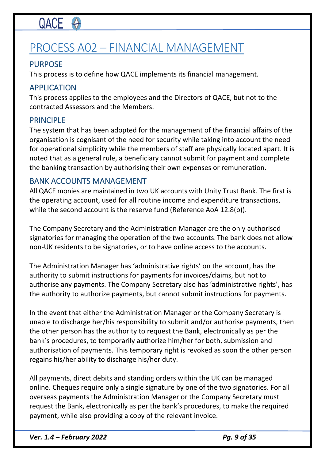# PROCESS A02 – FINANCIAL MANAGEMENT

# PURPOSE

This process is to define how QACE implements its financial management.

## APPLICATION

This process applies to the employees and the Directors of QACE, but not to the contracted Assessors and the Members.

## PRINCIPLE

The system that has been adopted for the management of the financial affairs of the organisation is cognisant of the need for security while taking into account the need for operational simplicity while the members of staff are physically located apart. It is noted that as a general rule, a beneficiary cannot submit for payment and complete the banking transaction by authorising their own expenses or remuneration.

## BANK ACCOUNTS MANAGEMENT

All QACE monies are maintained in two UK accounts with Unity Trust Bank. The first is the operating account, used for all routine income and expenditure transactions, while the second account is the reserve fund (Reference AoA 12.8(b)).

The Company Secretary and the Administration Manager are the only authorised signatories for managing the operation of the two accounts. The bank does not allow non-UK residents to be signatories, or to have online access to the accounts.

The Administration Manager has 'administrative rights' on the account, has the authority to submit instructions for payments for invoices/claims, but not to authorise any payments. The Company Secretary also has 'administrative rights', has the authority to authorize payments, but cannot submit instructions for payments.

In the event that either the Administration Manager or the Company Secretary is unable to discharge her/his responsibility to submit and/or authorise payments, then the other person has the authority to request the Bank, electronically as per the bank's procedures, to temporarily authorize him/her for both, submission and authorisation of payments. This temporary right is revoked as soon the other person regains his/her ability to discharge his/her duty.

All payments, direct debits and standing orders within the UK can be managed online. Cheques require only a single signature by one of the two signatories. For all overseas payments the Administration Manager or the Company Secretary must request the Bank, electronically as per the bank's procedures, to make the required payment, while also providing a copy of the relevant invoice.

*Ver.* 1.4 – *February* 2022 *Pg. 9 of 35*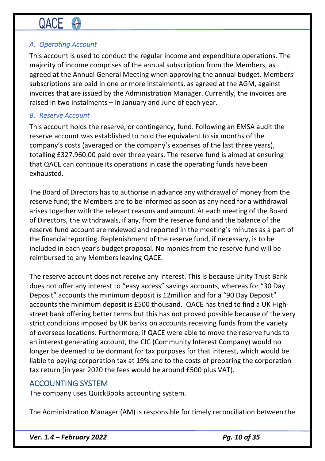## *A. Operating Account*

This account is used to conduct the regular income and expenditure operations. The majority of income comprises of the annual subscription from the Members, as agreed at the Annual General Meeting when approving the annual budget. Members' subscriptions are paid in one or more instalments, as agreed at the AGM, against invoices that are issued by the Administration Manager. Currently, the invoices are raised in two instalments – in January and June of each year.

#### *B. Reserve Account*

This account holds the reserve, or contingency, fund. Following an EMSA audit the reserve account was established to hold the equivalent to six months of the company's costs (averaged on the company's expenses of the last three years), totalling £327,960.00 paid over three years. The reserve fund is aimed at ensuring that QACE can continue its operations in case the operating funds have been exhausted.

The Board of Directors has to authorise in advance any withdrawal of money from the reserve fund; the Members are to be informed as soon as any need for a withdrawal arises together with the relevant reasons and amount. At each meeting of the Board of Directors, the withdrawals, if any, from the reserve fund and the balance of the reserve fund account are reviewed and reported in the meeting's minutes as a part of the financial reporting. Replenishment of the reserve fund, if necessary, is to be included in each year's budget proposal. No monies from the reserve fund will be reimbursed to any Members leaving QACE.

The reserve account does not receive any interest. This is because Unity Trust Bank does not offer any interest to "easy access" savings accounts, whereas for "30 Day Deposit" accounts the minimum deposit is £2million and for a "90 Day Deposit" accounts the minimum deposit is £500 thousand. QACE has tried to find a UK Highstreet bank offering better terms but this has not proved possible because of the very strict conditions imposed by UK banks on accounts receiving funds from the variety of overseas locations. Furthermore, if QACE were able to move the reserve funds to an interest generating account, the CIC (Community Interest Company) would no longer be deemed to be dormant for tax purposes for that interest, which would be liable to paying corporation tax at 19% and to the costs of preparing the corporation tax return (in year 2020 the fees would be around £500 plus VAT).

### ACCOUNTING SYSTEM

The company uses QuickBooks accounting system.

The Administration Manager (AM) is responsible for timely reconciliation between the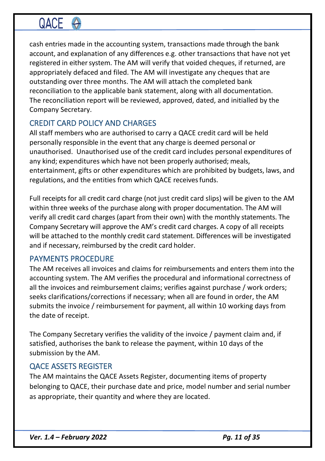cash entries made in the accounting system, transactions made through the bank account, and explanation of any differences e.g. other transactions that have not yet registered in either system. The AM will verify that voided cheques, if returned, are appropriately defaced and filed. The AM will investigate any cheques that are outstanding over three months. The AM will attach the completed bank reconciliation to the applicable bank statement, along with all documentation. The reconciliation report will be reviewed, approved, dated, and initialled by the Company Secretary.

# CREDIT CARD POLICY AND CHARGES

All staff members who are authorised to carry a QACE credit card will be held personally responsible in the event that any charge is deemed personal or unauthorised. Unauthorised use of the credit card includes personal expenditures of any kind; expenditures which have not been properly authorised; meals, entertainment, gifts or other expenditures which are prohibited by budgets, laws, and regulations, and the entities from which QACE receives funds.

Full receipts for all credit card charge (not just credit card slips) will be given to the AM within three weeks of the purchase along with proper documentation. The AM will verify all credit card charges (apart from their own) with the monthly statements. The Company Secretary will approve the AM's credit card charges. A copy of all receipts will be attached to the monthly credit card statement. Differences will be investigated and if necessary, reimbursed by the credit card holder.

## PAYMENTS PROCEDURE

The AM receives all invoices and claims for reimbursements and enters them into the accounting system. The AM verifies the procedural and informational correctness of all the invoices and reimbursement claims; verifies against purchase / work orders; seeks clarifications/corrections if necessary; when all are found in order, the AM submits the invoice / reimbursement for payment, all within 10 working days from the date of receipt.

The Company Secretary verifies the validity of the invoice / payment claim and, if satisfied, authorises the bank to release the payment, within 10 days of the submission by the AM.

## QACE ASSETS REGISTER

The AM maintains the QACE Assets Register, documenting items of property belonging to QACE, their purchase date and price, model number and serial number as appropriate, their quantity and where they are located.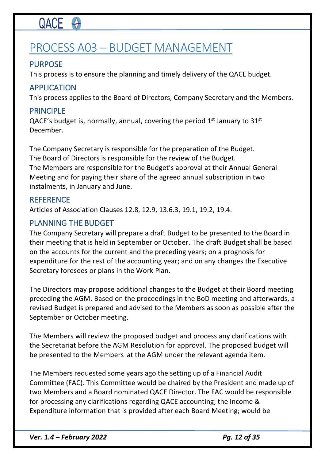# PROCESS A03 – BUDGET MANAGEMENT

# PURPOSE

This process is to ensure the planning and timely delivery of the QACE budget.

# APPLICATION

This process applies to the Board of Directors, Company Secretary and the Members.

# PRINCIPLE

QACE's budget is, normally, annual, covering the period  $1<sup>st</sup>$  January to  $31<sup>st</sup>$ December.

The Company Secretary is responsible for the preparation of the Budget. The Board of Directors is responsible for the review of the Budget. The Members are responsible for the Budget's approval at their Annual General Meeting and for paying their share of the agreed annual subscription in two instalments, in January and June.

## **REFERENCE**

Articles of Association Clauses 12.8, 12.9, 13.6.3, 19.1, 19.2, 19.4.

# PLANNING THE BUDGET

The Company Secretary will prepare a draft Budget to be presented to the Board in their meeting that is held in September or October. The draft Budget shall be based on the accounts for the current and the preceding years; on a prognosis for expenditure for the rest of the accounting year; and on any changes the Executive Secretary foresees or plans in the Work Plan.

The Directors may propose additional changes to the Budget at their Board meeting preceding the AGM. Based on the proceedings in the BoD meeting and afterwards, a revised Budget is prepared and advised to the Members as soon as possible after the September or October meeting.

The Members will review the proposed budget and process any clarifications with the Secretariat before the AGM Resolution for approval. The proposed budget will be presented to the Members at the AGM under the relevant agenda item.

The Members requested some years ago the setting up of a Financial Audit Committee (FAC). This Committee would be chaired by the President and made up of two Members and a Board nominated QACE Director. The FAC would be responsible for processing any clarifications regarding QACE accounting; the Income & Expenditure information that is provided after each Board Meeting; would be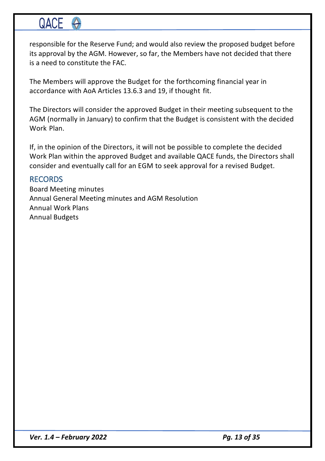responsible for the Reserve Fund; and would also review the proposed budget before its approval by the AGM. However, so far, the Members have not decided that there is a need to constitute the FAC.

The Members will approve the Budget for the forthcoming financial year in accordance with AoA Articles 13.6.3 and 19, if thought fit.

The Directors will consider the approved Budget in their meeting subsequent to the AGM (normally in January) to confirm that the Budget is consistent with the decided Work Plan.

If, in the opinion of the Directors, it will not be possible to complete the decided Work Plan within the approved Budget and available QACE funds, the Directors shall consider and eventually call for an EGM to seek approval for a revised Budget.

### RECORDS

Board Meeting minutes Annual General Meeting minutes and AGM Resolution Annual Work Plans Annual Budgets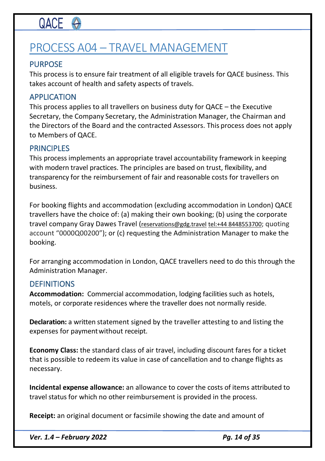# PROCESS A04 – TRAVEL MANAGEMENT

# PURPOSE

This process is to ensure fair treatment of all eligible travels for QACE business. This takes account of health and safety aspects of travels.

### APPLICATION

This process applies to all travellers on business duty for QACE – the Executive Secretary, the Company Secretary, the Administration Manager, the Chairman and the Directors of the Board and the contracted Assessors. This process does not apply to Members of QACE.

### PRINCIPLES

This process implements an appropriate travel accountability framework in keeping with modern travel practices. The principles are based on trust, flexibility, and transparency for the reimbursement of fair and reasonable costs for travellers on business.

For booking flights and accommodation (excluding accommodation in London) QACE travellers have the choice of: (a) making their own booking; (b) using the corporate travel company Gray Dawes Travel (reservations@gdg.travel tel:+44 8448553700; quoting account "0000Q00200"); or (c) requesting the Administration Manager to make the booking.

For arranging accommodation in London, QACE travellers need to do this through the Administration Manager.

### **DEFINITIONS**

**Accommodation:** Commercial accommodation, lodging facilities such as hotels, motels, or corporate residences where the traveller does not normally reside.

**Declaration:** a written statement signed by the traveller attesting to and listing the expenses for paymentwithout receipt.

**Economy Class:** the standard class of air travel, including discount fares for a ticket that is possible to redeem its value in case of cancellation and to change flights as necessary.

**Incidental expense allowance:** an allowance to cover the costs of items attributed to travel status for which no other reimbursement is provided in the process.

**Receipt:** an original document or facsimile showing the date and amount of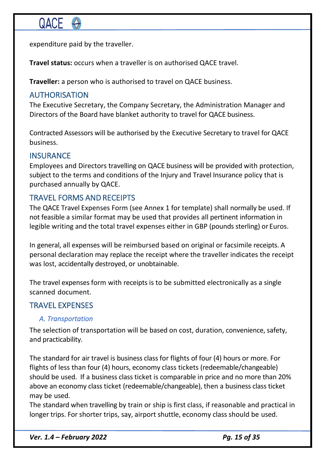expenditure paid by the traveller.

**Travel status:** occurs when a traveller is on authorised QACE travel.

**Traveller:** a person who is authorised to travel on QACE business.

## AUTHORISATION

The Executive Secretary, the Company Secretary, the Administration Manager and Directors of the Board have blanket authority to travel for QACE business.

Contracted Assessors will be authorised by the Executive Secretary to travel for QACE business.

## **INSURANCE**

Employees and Directors travelling on QACE business will be provided with protection, subject to the terms and conditions of the Injury and Travel Insurance policy that is purchased annually by QACE.

## TRAVEL FORMS AND RECEIPTS

The QACE Travel Expenses Form (see Annex 1 for template) shall normally be used. If not feasible a similar format may be used that provides all pertinent information in legible writing and the total travel expenses either in GBP (pounds sterling) or Euros.

In general, all expenses will be reimbursed based on original or facsimile receipts. A personal declaration may replace the receipt where the traveller indicates the receipt was lost, accidentally destroyed, or unobtainable.

The travel expenses form with receipts is to be submitted electronically as a single scanned document.

## TRAVEL EXPENSES

#### *A. Transportation*

The selection of transportation will be based on cost, duration, convenience, safety, and practicability.

The standard for air travel is business class for flights of four (4) hours or more. For flights of less than four (4) hours, economy class tickets (redeemable/changeable) should be used. If a business class ticket is comparable in price and no more than 20% above an economy class ticket (redeemable/changeable), then a business class ticket may be used.

The standard when travelling by train or ship is first class, if reasonable and practical in longer trips. For shorter trips, say, airport shuttle, economy class should be used.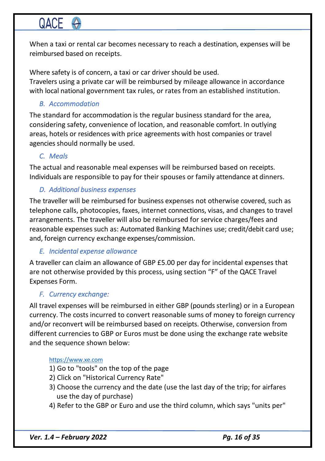When a taxi or rental car becomes necessary to reach a destination, expenses will be reimbursed based on receipts.

Where safety is of concern, a taxi or car driver should be used. Travelers using a private car will be reimbursed by mileage allowance in accordance with local national government tax rules, or rates from an established institution.

### *B. Accommodation*

The standard for accommodation is the regular business standard for the area, considering safety, convenience of location, and reasonable comfort. In outlying areas, hotels or residences with price agreements with host companies or travel agencies should normally be used.

## *C. Meals*

The actual and reasonable meal expenses will be reimbursed based on receipts. Individuals are responsible to pay for their spouses or family attendance at dinners.

### *D. Additional business expenses*

The traveller will be reimbursed for business expenses not otherwise covered, such as telephone calls, photocopies, faxes, internet connections, visas, and changes to travel arrangements. The traveller will also be reimbursed for service charges/fees and reasonable expenses such as: Automated Banking Machines use; credit/debit card use; and, foreign currency exchange expenses/commission.

### *E. Incidental expense allowance*

A traveller can claim an allowance of GBP £5.00 per day for incidental expenses that are not otherwise provided by this process, using section "F" of the QACE Travel Expenses Form.

### *F. Currency exchange:*

All travel expenses will be reimbursed in either GBP (pounds sterling) or in a European currency. The costs incurred to convert reasonable sums of money to foreign currency and/or reconvert will be reimbursed based on receipts. Otherwise, conversion from different currencies to GBP or Euros must be done using the exchange rate website and the sequence shown below:

#### https://www.xe.com

- 1) Go to "tools" on the top of the page
- 2) Click on "Historical Currency Rate"
- 3) Choose the currency and the date (use the last day of the trip; for airfares use the day of purchase)
- 4) Refer to the GBP or Euro and use the third column, which says "units per"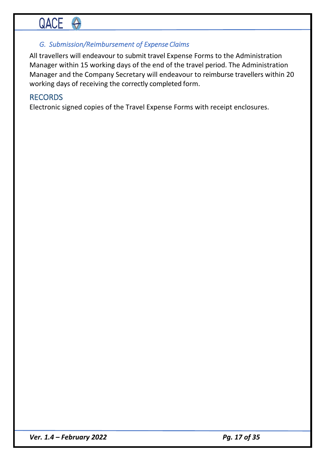### *G. Submission/Reimbursement of Expense Claims*

All travellers will endeavour to submit travel Expense Forms to the Administration Manager within 15 working days of the end of the travel period. The Administration Manager and the Company Secretary will endeavour to reimburse travellers within 20 working days of receiving the correctly completed form.

### RECORDS

Electronic signed copies of the Travel Expense Forms with receipt enclosures.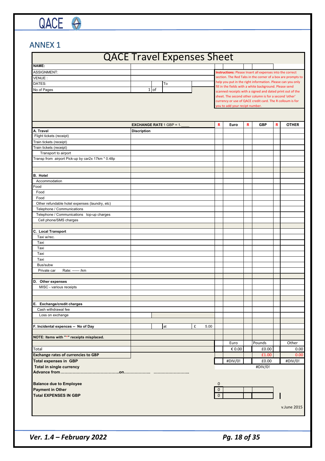# ANNEX 1

QACE O

# **QACE**

# QACE Travel Expenses Sheet

|                                                   | <b>UNCL THATCL LAPCHSES SHEET</b> |                                 |   |      |              |                                |    |                                                                                                                       |   |              |
|---------------------------------------------------|-----------------------------------|---------------------------------|---|------|--------------|--------------------------------|----|-----------------------------------------------------------------------------------------------------------------------|---|--------------|
| NAME:                                             |                                   |                                 |   |      |              |                                |    |                                                                                                                       |   |              |
| <b>ASSIGNMENT:</b>                                |                                   |                                 |   |      |              |                                |    | Instructions: Please Insert all expenses into the correct                                                             |   |              |
| VENUE:                                            |                                   |                                 |   |      |              |                                |    | section. The Red Tabs in the corner of a box are prompts to                                                           |   |              |
| DATES:                                            |                                   | To                              |   |      |              |                                |    | help you put in the right information. Please can you only<br>fill in the fields with a white background. Please send |   |              |
| No of Pages                                       |                                   | $1$ of                          |   |      |              |                                |    | scanned receipts with a signed and dated print out of the                                                             |   |              |
|                                                   |                                   |                                 |   |      |              | you to add your recipt number. |    | sheet. The second other column is for a second 'other'<br>currency or use of QACE credit card. The R colloum is for   |   |              |
|                                                   |                                   |                                 |   |      |              |                                |    |                                                                                                                       |   |              |
|                                                   |                                   | <b>EXCHANGE RATE 1 GBP = 1.</b> |   |      | R            | Euro                           | R. | <b>GBP</b>                                                                                                            | R | <b>OTHER</b> |
| A. Travel                                         | <b>Discription</b>                |                                 |   |      |              |                                |    |                                                                                                                       |   |              |
| Flight tickets (receipt)                          |                                   |                                 |   |      |              |                                |    |                                                                                                                       |   |              |
| Train tickets (receipt)                           |                                   |                                 |   |      |              |                                |    |                                                                                                                       |   |              |
| Train tickets (receipt)                           |                                   |                                 |   |      |              |                                |    |                                                                                                                       |   |              |
| Transport to airport                              |                                   |                                 |   |      |              |                                |    |                                                                                                                       |   |              |
| Transp from airport Pick-up by car2x 17km * 0.48p |                                   |                                 |   |      |              |                                |    |                                                                                                                       |   |              |
|                                                   |                                   |                                 |   |      |              |                                |    |                                                                                                                       |   |              |
| <b>B.</b> Hotel                                   |                                   |                                 |   |      |              |                                |    |                                                                                                                       |   |              |
| Accommodation                                     |                                   |                                 |   |      |              |                                |    |                                                                                                                       |   |              |
| Food                                              |                                   |                                 |   |      |              |                                |    |                                                                                                                       |   |              |
| Food                                              |                                   |                                 |   |      |              |                                |    |                                                                                                                       |   |              |
| Food                                              |                                   |                                 |   |      |              |                                |    |                                                                                                                       |   |              |
| Other refundable hotel expenses (laundry, etc)    |                                   |                                 |   |      |              |                                |    |                                                                                                                       |   |              |
| Telephone / Communications                        |                                   |                                 |   |      |              |                                |    |                                                                                                                       |   |              |
| Telephone / Communications top-up charges         |                                   |                                 |   |      |              |                                |    |                                                                                                                       |   |              |
| Cell phone/SMS charges                            |                                   |                                 |   |      |              |                                |    |                                                                                                                       |   |              |
|                                                   |                                   |                                 |   |      |              |                                |    |                                                                                                                       |   |              |
| <b>C.</b> Local Transport                         |                                   |                                 |   |      |              |                                |    |                                                                                                                       |   |              |
| Taxi w/rec.                                       |                                   |                                 |   |      |              |                                |    |                                                                                                                       |   |              |
| Taxi                                              |                                   |                                 |   |      |              |                                |    |                                                                                                                       |   |              |
| Taxi                                              |                                   |                                 |   |      |              |                                |    |                                                                                                                       |   |              |
| Taxi                                              |                                   |                                 |   |      |              |                                |    |                                                                                                                       |   |              |
| Taxi                                              |                                   |                                 |   |      |              |                                |    |                                                                                                                       |   |              |
| Bus/subw                                          |                                   |                                 |   |      |              |                                |    |                                                                                                                       |   |              |
| Rate: ------ /km<br>Private car                   |                                   |                                 |   |      |              |                                |    |                                                                                                                       |   |              |
|                                                   |                                   |                                 |   |      |              |                                |    |                                                                                                                       |   |              |
| D. Other expenses                                 |                                   |                                 |   |      |              |                                |    |                                                                                                                       |   |              |
| MISC - various receipts                           |                                   |                                 |   |      |              |                                |    |                                                                                                                       |   |              |
|                                                   |                                   |                                 |   |      |              |                                |    |                                                                                                                       |   |              |
|                                                   |                                   |                                 |   |      |              |                                |    |                                                                                                                       |   |              |
| E. Exchange/credit charges                        |                                   |                                 |   |      |              |                                |    |                                                                                                                       |   |              |
| Cash withdrawal fee                               |                                   |                                 |   |      |              |                                |    |                                                                                                                       |   |              |
| Loss on exchange                                  |                                   |                                 |   |      |              |                                |    |                                                                                                                       |   |              |
|                                                   |                                   |                                 |   |      |              |                                |    |                                                                                                                       |   |              |
| F. Incidental expences -- No of Day               |                                   | at                              | £ | 5.00 |              |                                |    |                                                                                                                       |   |              |
| NOTE: Items with "*" receipts misplaced.          |                                   |                                 |   |      |              |                                |    |                                                                                                                       |   |              |
|                                                   |                                   |                                 |   |      |              | Euro                           |    | Pounds                                                                                                                |   | Other        |
| Total                                             |                                   |                                 |   |      |              | € 0.00                         |    | £0.00                                                                                                                 |   | 0.00         |
| <b>Exchange rates of currencies to GBP</b>        |                                   |                                 |   |      |              |                                |    | £1.00                                                                                                                 |   | 0.00         |
| <b>Total expenses in GBP</b>                      |                                   |                                 |   |      |              | #DIV/0!                        |    | £0.00                                                                                                                 |   | #DIV/0!      |
| Total in single currency                          |                                   |                                 |   |      |              |                                |    | #DIV/0!                                                                                                               |   |              |
|                                                   |                                   |                                 |   |      |              |                                |    |                                                                                                                       |   |              |
|                                                   |                                   |                                 |   |      |              |                                |    |                                                                                                                       |   |              |
| <b>Balance due to Employee</b>                    |                                   |                                 |   |      | $\mathbf 0$  |                                |    |                                                                                                                       |   |              |
| <b>Payment in Other</b>                           |                                   |                                 |   |      | $\mathbf{0}$ |                                |    |                                                                                                                       |   |              |
| <b>Total EXPENSES IN GBP</b>                      |                                   |                                 |   |      | $\mathbf 0$  |                                |    |                                                                                                                       |   |              |
|                                                   |                                   |                                 |   |      |              |                                |    |                                                                                                                       |   |              |
|                                                   |                                   |                                 |   |      |              |                                |    |                                                                                                                       |   | v.June 2015  |
|                                                   |                                   |                                 |   |      |              |                                |    |                                                                                                                       |   |              |
|                                                   |                                   |                                 |   |      |              |                                |    |                                                                                                                       |   |              |
|                                                   |                                   |                                 |   |      |              |                                |    |                                                                                                                       |   |              |
|                                                   |                                   |                                 |   |      |              |                                |    |                                                                                                                       |   |              |
|                                                   |                                   |                                 |   |      |              |                                |    |                                                                                                                       |   |              |

*Ver.* 1.4 – *February* 2022 *Pg. 18 of 35*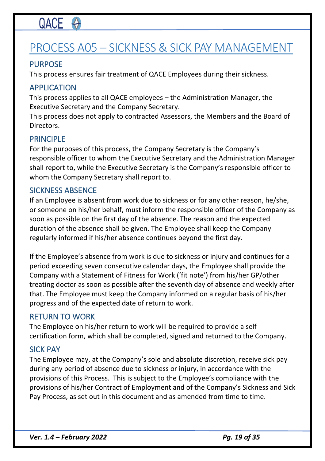# PROCESS A05 – SICKNESS & SICK PAY MANAGEMENT

## PURPOSE

This process ensures fair treatment of QACE Employees during their sickness.

### APPLICATION

This process applies to all QACE employees – the Administration Manager, the Executive Secretary and the Company Secretary.

This process does not apply to contracted Assessors, the Members and the Board of Directors.

### PRINCIPLE

For the purposes of this process, the Company Secretary is the Company's responsible officer to whom the Executive Secretary and the Administration Manager shall report to, while the Executive Secretary is the Company's responsible officer to whom the Company Secretary shall report to.

#### SICKNESS ABSENCE

If an Employee is absent from work due to sickness or for any other reason, he/she, or someone on his/her behalf, must inform the responsible officer of the Company as soon as possible on the first day of the absence. The reason and the expected duration of the absence shall be given. The Employee shall keep the Company regularly informed if his/her absence continues beyond the first day.

If the Employee's absence from work is due to sickness or injury and continues for a period exceeding seven consecutive calendar days, the Employee shall provide the Company with a Statement of Fitness for Work ('fit note') from his/her GP/other treating doctor as soon as possible after the seventh day of absence and weekly after that. The Employee must keep the Company informed on a regular basis of his/her progress and of the expected date of return to work.

#### RETURN TO WORK

The Employee on his/her return to work will be required to provide a selfcertification form, which shall be completed, signed and returned to the Company.

#### SICK PAY

The Employee may, at the Company's sole and absolute discretion, receive sick pay during any period of absence due to sickness or injury, in accordance with the provisions of this Process. This is subject to the Employee's compliance with the provisions of his/her Contract of Employment and of the Company's Sickness and Sick Pay Process, as set out in this document and as amended from time to time.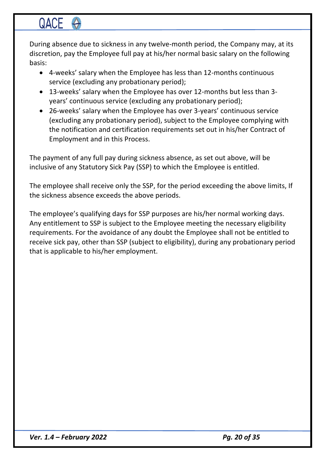During absence due to sickness in any twelve-month period, the Company may, at its discretion, pay the Employee full pay at his/her normal basic salary on the following basis:

- 4-weeks' salary when the Employee has less than 12-months continuous service (excluding any probationary period);
- 13-weeks' salary when the Employee has over 12-months but less than 3 years' continuous service (excluding any probationary period);
- 26-weeks' salary when the Employee has over 3-years' continuous service (excluding any probationary period), subject to the Employee complying with the notification and certification requirements set out in his/her Contract of Employment and in this Process.

The payment of any full pay during sickness absence, as set out above, will be inclusive of any Statutory Sick Pay (SSP) to which the Employee is entitled.

The employee shall receive only the SSP, for the period exceeding the above limits, If the sickness absence exceeds the above periods.

The employee's qualifying days for SSP purposes are his/her normal working days. Any entitlement to SSP is subject to the Employee meeting the necessary eligibility requirements. For the avoidance of any doubt the Employee shall not be entitled to receive sick pay, other than SSP (subject to eligibility), during any probationary period that is applicable to his/her employment.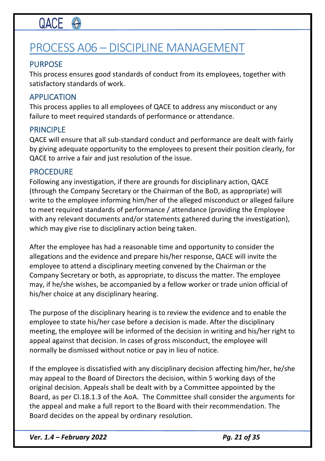# PROCESS A06 – DISCIPLINE MANAGEMENT

# PURPOSE

This process ensures good standards of conduct from its employees, together with satisfactory standards of work.

## APPLICATION

This process applies to all employees of QACE to address any misconduct or any failure to meet required standards of performance or attendance.

## PRINCIPLE

QACE will ensure that all sub-standard conduct and performance are dealt with fairly by giving adequate opportunity to the employees to present their position clearly, for QACE to arrive a fair and just resolution of the issue.

## PROCEDURE

Following any investigation, if there are grounds for disciplinary action, QACE (through the Company Secretary or the Chairman of the BoD, as appropriate) will write to the employee informing him/her of the alleged misconduct or alleged failure to meet required standards of performance / attendance (providing the Employee with any relevant documents and/or statements gathered during the investigation), which may give rise to disciplinary action being taken.

After the employee has had a reasonable time and opportunity to consider the allegations and the evidence and prepare his/her response, QACE will invite the employee to attend a disciplinary meeting convened by the Chairman or the Company Secretary or both, as appropriate, to discuss the matter. The employee may, if he/she wishes, be accompanied by a fellow worker or trade union official of his/her choice at any disciplinary hearing.

The purpose of the disciplinary hearing is to review the evidence and to enable the employee to state his/her case before a decision is made. After the disciplinary meeting, the employee will be informed of the decision in writing and his/her right to appeal against that decision. In cases of gross misconduct, the employee will normally be dismissed without notice or pay in lieu of notice.

If the employee is dissatisfied with any disciplinary decision affecting him/her, he/she may appeal to the Board of Directors the decision, within 5 working days of the original decision. Appeals shall be dealt with by a Committee appointed by the Board, as per Cl.18.1.3 of the AoA. The Committee shall consider the arguments for the appeal and make a full report to the Board with their recommendation. The Board decides on the appeal by ordinary resolution.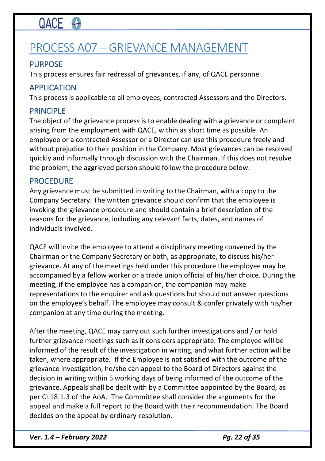# PROCESS A07 – GRIEVANCE MANAGEMENT

# PURPOSE

This process ensures fair redressal of grievances, if any, of QACE personnel.

## APPLICATION

This process is applicable to all employees, contracted Assessors and the Directors.

## PRINCIPLE

The object of the grievance process is to enable dealing with a grievance or complaint arising from the employment with QACE, within as short time as possible. An employee or a contracted Assessor or a Director can use this procedure freely and without prejudice to their position in the Company. Most grievances can be resolved quickly and informally through discussion with the Chairman. If this does not resolve the problem, the aggrieved person should follow the procedure below.

### PROCEDURE

Any grievance must be submitted in writing to the Chairman, with a copy to the Company Secretary. The written grievance should confirm that the employee is invoking the grievance procedure and should contain a brief description of the reasons for the grievance, including any relevant facts, dates, and names of individuals involved.

QACE will invite the employee to attend a disciplinary meeting convened by the Chairman or the Company Secretary or both, as appropriate, to discuss his/her grievance. At any of the meetings held under this procedure the employee may be accompanied by a fellow worker or a trade union official of his/her choice. During the meeting, if the employee has a companion, the companion may make representations to the enquirer and ask questions but should not answer questions on the employee's behalf. The employee may consult & confer privately with his/her companion at any time during the meeting.

After the meeting, QACE may carry out such further investigations and / or hold further grievance meetings such as it considers appropriate. The employee will be informed of the result of the investigation in writing, and what further action will be taken, where appropriate. If the Employee is not satisfied with the outcome of the grievance investigation, he/she can appeal to the Board of Directors against the decision in writing within 5 working days of being informed of the outcome of the grievance. Appeals shall be dealt with by a Committee appointed by the Board, as per Cl.18.1.3 of the AoA. The Committee shall consider the arguments for the appeal and make a full report to the Board with their recommendation. The Board decides on the appeal by ordinary resolution.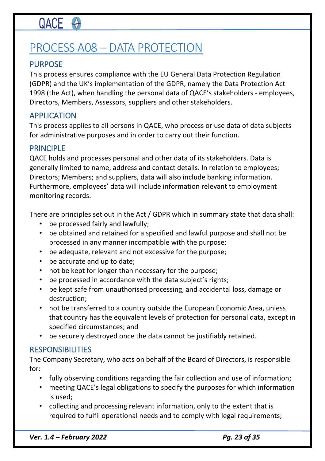# PROCESS A08 – DATA PROTECTION

# PURPOSE

This process ensures compliance with the EU General Data Protection Regulation (GDPR) and the UK's implementation of the GDPR, namely the Data Protection Act 1998 (the Act), when handling the personal data of QACE's stakeholders - employees, Directors, Members, Assessors, suppliers and other stakeholders.

# APPLICATION

This process applies to all persons in QACE, who process or use data of data subjects for administrative purposes and in order to carry out their function.

## PRINCIPLE

QACE holds and processes personal and other data of its stakeholders. Data is generally limited to name, address and contact details. In relation to employees; Directors; Members; and suppliers, data will also include banking information. Furthermore, employees' data will include information relevant to employment monitoring records.

There are principles set out in the Act / GDPR which in summary state that data shall:

- be processed fairly and lawfully;
- be obtained and retained for a specified and lawful purpose and shall not be processed in any manner incompatible with the purpose;
- be adequate, relevant and not excessive for the purpose;
- be accurate and up to date;
- not be kept for longer than necessary for the purpose;
- be processed in accordance with the data subject's rights;
- be kept safe from unauthorised processing, and accidental loss, damage or destruction;
- not be transferred to a country outside the European Economic Area, unless that country has the equivalent levels of protection for personal data, except in specified circumstances; and
- be securely destroyed once the data cannot be justifiably retained.

## **RESPONSIBILITIES**

The Company Secretary, who acts on behalf of the Board of Directors, is responsible for:

- fully observing conditions regarding the fair collection and use of information;
- meeting QACE's legal obligations to specify the purposes for which information is used;
- collecting and processing relevant information, only to the extent that is required to fulfil operational needs and to comply with legal requirements;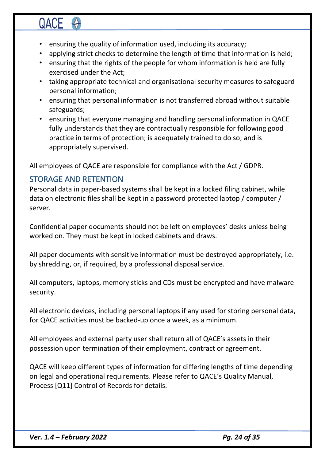- ensuring the quality of information used, including its accuracy;
- applying strict checks to determine the length of time that information is held;
- ensuring that the rights of the people for whom information is held are fully exercised under the Act;
- taking appropriate technical and organisational security measures to safeguard personal information;
- ensuring that personal information is not transferred abroad without suitable safeguards;
- ensuring that everyone managing and handling personal information in QACE fully understands that they are contractually responsible for following good practice in terms of protection; is adequately trained to do so; and is appropriately supervised.

All employees of QACE are responsible for compliance with the Act / GDPR.

# STORAGE AND RETENTION

Personal data in paper-based systems shall be kept in a locked filing cabinet, while data on electronic files shall be kept in a password protected laptop / computer / server.

Confidential paper documents should not be left on employees' desks unless being worked on. They must be kept in locked cabinets and draws.

All paper documents with sensitive information must be destroyed appropriately, i.e. by shredding, or, if required, by a professional disposal service.

All computers, laptops, memory sticks and CDs must be encrypted and have malware security.

All electronic devices, including personal laptops if any used for storing personal data, for QACE activities must be backed-up once a week, as a minimum.

All employees and external party user shall return all of QACE's assets in their possession upon termination of their employment, contract or agreement.

QACE will keep different types of information for differing lengths of time depending on legal and operational requirements. Please refer to QACE's Quality Manual, Process [Q11] Control of Records for details.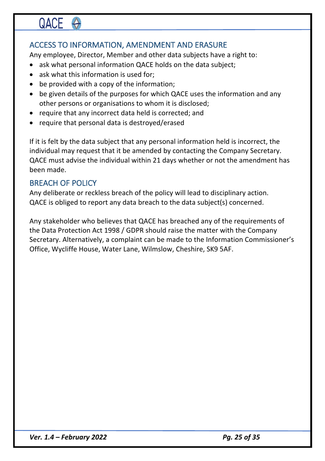# ACCESS TO INFORMATION, AMENDMENT AND ERASURE

Any employee, Director, Member and other data subjects have a right to:

- ask what personal information QACE holds on the data subject;
- ask what this information is used for:
- be provided with a copy of the information;
- be given details of the purposes for which QACE uses the information and any other persons or organisations to whom it is disclosed;
- require that any incorrect data held is corrected; and
- require that personal data is destroyed/erased

If it is felt by the data subject that any personal information held is incorrect, the individual may request that it be amended by contacting the Company Secretary. QACE must advise the individual within 21 days whether or not the amendment has been made.

## BREACH OF POLICY

Any deliberate or reckless breach of the policy will lead to disciplinary action. QACE is obliged to report any data breach to the data subject(s) concerned.

Any stakeholder who believes that QACE has breached any of the requirements of the Data Protection Act 1998 / GDPR should raise the matter with the Company Secretary. Alternatively, a complaint can be made to the Information Commissioner's Office, Wycliffe House, Water Lane, Wilmslow, Cheshire, SK9 5AF.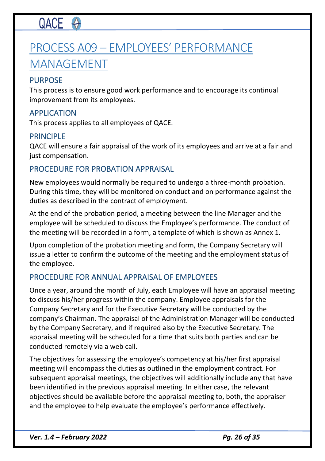# PROCESS A09 – EMPLOYEES' PERFORMANCE MANAGEMENT

### PURPOSE

This process is to ensure good work performance and to encourage its continual improvement from its employees.

### APPLICATION

This process applies to all employees of QACE.

### PRINCIPLE

QACE will ensure a fair appraisal of the work of its employees and arrive at a fair and just compensation.

## PROCEDURE FOR PROBATION APPRAISAL

New employees would normally be required to undergo a three-month probation. During this time, they will be monitored on conduct and on performance against the duties as described in the contract of employment.

At the end of the probation period, a meeting between the line Manager and the employee will be scheduled to discuss the Employee's performance. The conduct of the meeting will be recorded in a form, a template of which is shown as Annex 1.

Upon completion of the probation meeting and form, the Company Secretary will issue a letter to confirm the outcome of the meeting and the employment status of the employee.

## PROCEDURE FOR ANNUAL APPRAISAL OF EMPLOYEES

Once a year, around the month of July, each Employee will have an appraisal meeting to discuss his/her progress within the company. Employee appraisals for the Company Secretary and for the Executive Secretary will be conducted by the company's Chairman. The appraisal of the Administration Manager will be conducted by the Company Secretary, and if required also by the Executive Secretary. The appraisal meeting will be scheduled for a time that suits both parties and can be conducted remotely via a web call.

The objectives for assessing the employee's competency at his/her first appraisal meeting will encompass the duties as outlined in the employment contract. For subsequent appraisal meetings, the objectives will additionally include any that have been identified in the previous appraisal meeting. In either case, the relevant objectives should be available before the appraisal meeting to, both, the appraiser and the employee to help evaluate the employee's performance effectively.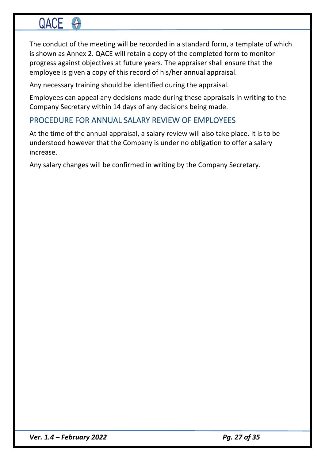The conduct of the meeting will be recorded in a standard form, a template of which is shown as Annex 2. QACE will retain a copy of the completed form to monitor progress against objectives at future years. The appraiser shall ensure that the employee is given a copy of this record of his/her annual appraisal.

Any necessary training should be identified during the appraisal.

Employees can appeal any decisions made during these appraisals in writing to the Company Secretary within 14 days of any decisions being made.

## PROCEDURE FOR ANNUAL SALARY REVIEW OF EMPLOYEES

At the time of the annual appraisal, a salary review will also take place. It is to be understood however that the Company is under no obligation to offer a salary increase.

Any salary changes will be confirmed in writing by the Company Secretary.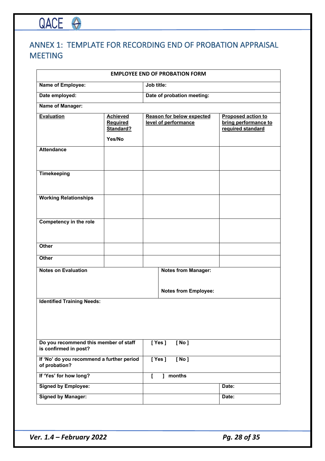# ANNEX 1: TEMPLATE FOR RECORDING END OF PROBATION APPRAISAL MEETING

|                                                                |                                                    |  | <b>EMPLOYEE END OF PROBATION FORM</b>                    |                                                                        |  |  |  |  |  |
|----------------------------------------------------------------|----------------------------------------------------|--|----------------------------------------------------------|------------------------------------------------------------------------|--|--|--|--|--|
| <b>Name of Employee:</b>                                       |                                                    |  | Job title:                                               |                                                                        |  |  |  |  |  |
| Date employed:                                                 |                                                    |  | Date of probation meeting:                               |                                                                        |  |  |  |  |  |
| <b>Name of Manager:</b>                                        |                                                    |  |                                                          |                                                                        |  |  |  |  |  |
| <b>Evaluation</b>                                              | <b>Achieved</b><br>Required<br>Standard?<br>Yes/No |  | <b>Reason for below expected</b><br>level of performance | <b>Proposed action to</b><br>bring performance to<br>required standard |  |  |  |  |  |
| <b>Attendance</b>                                              |                                                    |  |                                                          |                                                                        |  |  |  |  |  |
| <b>Timekeeping</b>                                             |                                                    |  |                                                          |                                                                        |  |  |  |  |  |
| <b>Working Relationships</b>                                   |                                                    |  |                                                          |                                                                        |  |  |  |  |  |
| <b>Competency in the role</b>                                  |                                                    |  |                                                          |                                                                        |  |  |  |  |  |
| <b>Other</b>                                                   |                                                    |  |                                                          |                                                                        |  |  |  |  |  |
| <b>Other</b>                                                   |                                                    |  |                                                          |                                                                        |  |  |  |  |  |
| <b>Notes on Evaluation</b>                                     |                                                    |  | <b>Notes from Manager:</b>                               |                                                                        |  |  |  |  |  |
|                                                                |                                                    |  | <b>Notes from Employee:</b>                              |                                                                        |  |  |  |  |  |
| <b>Identified Training Needs:</b>                              |                                                    |  |                                                          |                                                                        |  |  |  |  |  |
| Do you recommend this member of staff<br>is confirmed in post? |                                                    |  | [Yes]<br>[No]                                            |                                                                        |  |  |  |  |  |
| If 'No' do you recommend a further period<br>of probation?     |                                                    |  | [Yes]<br>[ No ]                                          |                                                                        |  |  |  |  |  |
| If 'Yes' for how long?                                         |                                                    |  | ] months                                                 |                                                                        |  |  |  |  |  |
| <b>Signed by Employee:</b>                                     |                                                    |  |                                                          | Date:                                                                  |  |  |  |  |  |
| <b>Signed by Manager:</b>                                      |                                                    |  |                                                          | Date:                                                                  |  |  |  |  |  |

*Ver.* 1.4 – *February* 2022 *Pg. 28 of 35* 

QACE O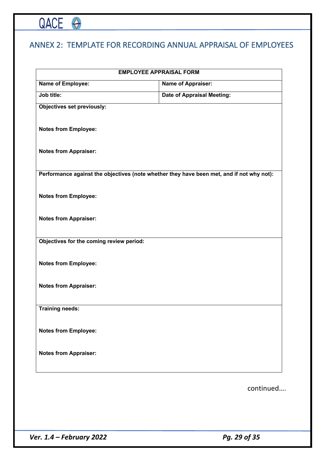# QACE O

# ANNEX 2: TEMPLATE FOR RECORDING ANNUAL APPRAISAL OF EMPLOYEES

| <b>EMPLOYEE APPRAISAL FORM</b>           |                                                                                           |  |  |  |  |
|------------------------------------------|-------------------------------------------------------------------------------------------|--|--|--|--|
| Name of Employee:                        | <b>Name of Appraiser:</b>                                                                 |  |  |  |  |
| Job title:                               | <b>Date of Appraisal Meeting:</b>                                                         |  |  |  |  |
| <b>Objectives set previously:</b>        |                                                                                           |  |  |  |  |
| <b>Notes from Employee:</b>              |                                                                                           |  |  |  |  |
| <b>Notes from Appraiser:</b>             |                                                                                           |  |  |  |  |
|                                          | Performance against the objectives (note whether they have been met, and if not why not): |  |  |  |  |
| <b>Notes from Employee:</b>              |                                                                                           |  |  |  |  |
| <b>Notes from Appraiser:</b>             |                                                                                           |  |  |  |  |
| Objectives for the coming review period: |                                                                                           |  |  |  |  |
| <b>Notes from Employee:</b>              |                                                                                           |  |  |  |  |
| <b>Notes from Appraiser:</b>             |                                                                                           |  |  |  |  |
| <b>Training needs:</b>                   |                                                                                           |  |  |  |  |
| <b>Notes from Employee:</b>              |                                                                                           |  |  |  |  |
| <b>Notes from Appraiser:</b>             |                                                                                           |  |  |  |  |
|                                          | continued                                                                                 |  |  |  |  |
|                                          |                                                                                           |  |  |  |  |

*Ver.* 1.4 – *February* 2022 *Pg. 29 of 35*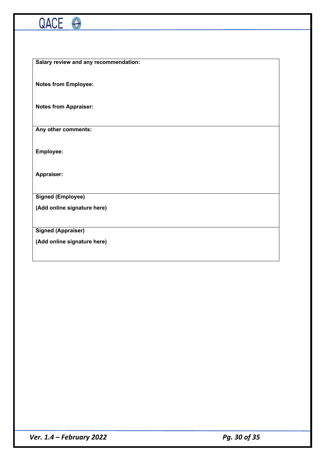

**Salary review and any recommendation:**

**Notes from Employee:**

**Notes from Appraiser:**

**Any other comments:**

**Employee:**

**Appraiser:**

**Signed (Employee)**

**(Add online signature here)**

**Signed (Appraiser)**

**(Add online signature here)**

*Ver. 1.4 – February 2022 Pg. 30 of 35*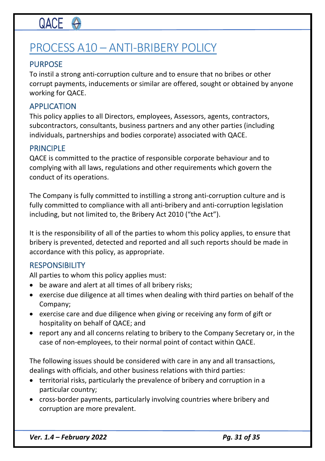# PROCESS A10 – ANTI-BRIBERY POLICY

## PURPOSE

To instil a strong anti-corruption culture and to ensure that no bribes or other corrupt payments, inducements or similar are offered, sought or obtained by anyone working for QACE.

### APPLICATION

This policy applies to all Directors, employees, Assessors, agents, contractors, subcontractors, consultants, business partners and any other parties (including individuals, partnerships and bodies corporate) associated with QACE.

### PRINCIPLE

QACE is committed to the practice of responsible corporate behaviour and to complying with all laws, regulations and other requirements which govern the conduct of its operations.

The Company is fully committed to instilling a strong anti-corruption culture and is fully committed to compliance with all anti-bribery and anti-corruption legislation including, but not limited to, the Bribery Act 2010 ("the Act").

It is the responsibility of all of the parties to whom this policy applies, to ensure that bribery is prevented, detected and reported and all such reports should be made in accordance with this policy, as appropriate.

### **RESPONSIBILITY**

All parties to whom this policy applies must:

- be aware and alert at all times of all bribery risks;
- exercise due diligence at all times when dealing with third parties on behalf of the Company;
- exercise care and due diligence when giving or receiving any form of gift or hospitality on behalf of QACE; and
- report any and all concerns relating to bribery to the Company Secretary or, in the case of non-employees, to their normal point of contact within QACE.

The following issues should be considered with care in any and all transactions, dealings with officials, and other business relations with third parties:

- territorial risks, particularly the prevalence of bribery and corruption in a particular country;
- cross-border payments, particularly involving countries where bribery and corruption are more prevalent.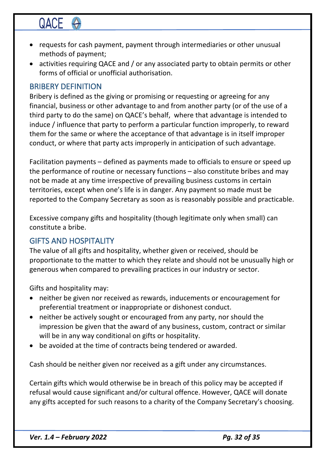# QACE <

- requests for cash payment, payment through intermediaries or other unusual methods of payment;
- activities requiring QACE and / or any associated party to obtain permits or other forms of official or unofficial authorisation.

### BRIBERY DEFINITION

Bribery is defined as the giving or promising or requesting or agreeing for any financial, business or other advantage to and from another party (or of the use of a third party to do the same) on QACE's behalf, where that advantage is intended to induce / influence that party to perform a particular function improperly, to reward them for the same or where the acceptance of that advantage is in itself improper conduct, or where that party acts improperly in anticipation of such advantage.

Facilitation payments – defined as payments made to officials to ensure or speed up the performance of routine or necessary functions – also constitute bribes and may not be made at any time irrespective of prevailing business customs in certain territories, except when one's life is in danger. Any payment so made must be reported to the Company Secretary as soon as is reasonably possible and practicable.

Excessive company gifts and hospitality (though legitimate only when small) can constitute a bribe.

### GIFTS AND HOSPITALITY

The value of all gifts and hospitality, whether given or received, should be proportionate to the matter to which they relate and should not be unusually high or generous when compared to prevailing practices in our industry or sector.

Gifts and hospitality may:

- neither be given nor received as rewards, inducements or encouragement for preferential treatment or inappropriate or dishonest conduct.
- neither be actively sought or encouraged from any party, nor should the impression be given that the award of any business, custom, contract or similar will be in any way conditional on gifts or hospitality.
- be avoided at the time of contracts being tendered or awarded.

Cash should be neither given nor received as a gift under any circumstances.

Certain gifts which would otherwise be in breach of this policy may be accepted if refusal would cause significant and/or cultural offence. However, QACE will donate any gifts accepted for such reasons to a charity of the Company Secretary's choosing.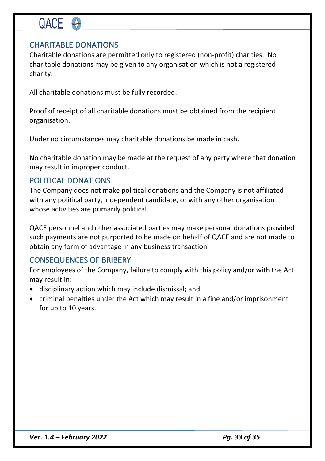## CHARITABLE DONATIONS

Charitable donations are permitted only to registered (non-profit) charities. No charitable donations may be given to any organisation which is not a registered charity.

All charitable donations must be fully recorded.

Proof of receipt of all charitable donations must be obtained from the recipient organisation.

Under no circumstances may charitable donations be made in cash.

No charitable donation may be made at the request of any party where that donation may result in improper conduct.

### POLITICAL DONATIONS

The Company does not make political donations and the Company is not affiliated with any political party, independent candidate, or with any other organisation whose activities are primarily political.

QACE personnel and other associated parties may make personal donations provided such payments are not purported to be made on behalf of QACE and are not made to obtain any form of advantage in any business transaction.

## CONSEQUENCES OF BRIBERY

For employees of the Company, failure to comply with this policy and/or with the Act may result in:

- disciplinary action which may include dismissal; and
- criminal penalties under the Act which may result in a fine and/or imprisonment for up to 10 years.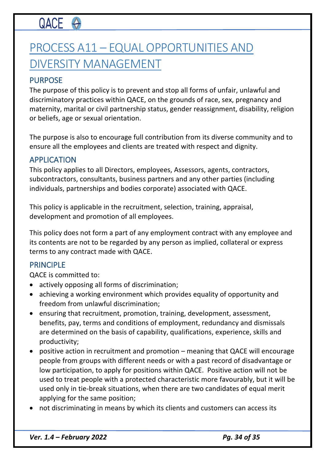# PROCESS A11 – EQUAL OPPORTUNITIES AND DIVERSITY MANAGEMENT

## PURPOSE

The purpose of this policy is to prevent and stop all forms of unfair, unlawful and discriminatory practices within QACE, on the grounds of race, sex, pregnancy and maternity, marital or civil partnership status, gender reassignment, disability, religion or beliefs, age or sexual orientation.

The purpose is also to encourage full contribution from its diverse community and to ensure all the employees and clients are treated with respect and dignity.

### APPLICATION

This policy applies to all Directors, employees, Assessors, agents, contractors, subcontractors, consultants, business partners and any other parties (including individuals, partnerships and bodies corporate) associated with QACE.

This policy is applicable in the recruitment, selection, training, appraisal, development and promotion of all employees.

This policy does not form a part of any employment contract with any employee and its contents are not to be regarded by any person as implied, collateral or express terms to any contract made with QACE.

### PRINCIPLE

QACE is committed to:

- actively opposing all forms of discrimination;
- achieving a working environment which provides equality of opportunity and freedom from unlawful discrimination;
- ensuring that recruitment, promotion, training, development, assessment, benefits, pay, terms and conditions of employment, redundancy and dismissals are determined on the basis of capability, qualifications, experience, skills and productivity;
- positive action in recruitment and promotion meaning that QACE will encourage people from groups with different needs or with a past record of disadvantage or low participation, to apply for positions within QACE. Positive action will not be used to treat people with a protected characteristic more favourably, but it will be used only in tie-break situations, when there are two candidates of equal merit applying for the same position;
- not discriminating in means by which its clients and customers can access its